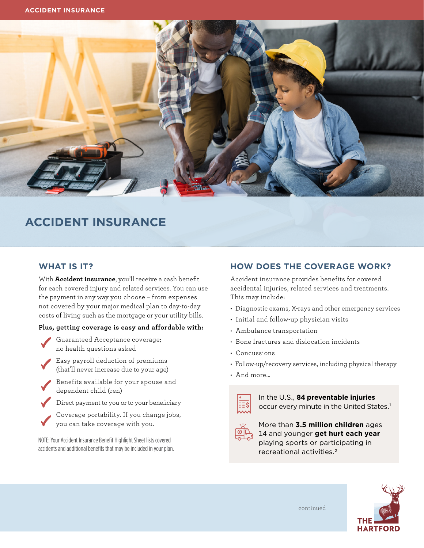

# **ACCIDENT INSURANCE**

### **WHAT IS IT?**

With **Accident insurance**, you'll receive a cash benefit for each covered injury and related services. You can use the payment in any way you choose – from expenses not covered by your major medical plan to day-to-day costs of living such as the mortgage or your utility bills.

#### **Plus, getting coverage is easy and affordable with:**

- Guaranteed Acceptance coverage; no health questions asked
- Easy payroll deduction of premiums (that'll never increase due to your age)
- Benefits available for your spouse and dependent child (ren)
	- Direct payment to you or to your beneficiary



NOTE: Your Accident Insurance Benefit Highlight Sheet lists covered accidents and additional benefits that may be included in your plan.

### **HOW DOES THE COVERAGE WORK?**

Accident insurance provides benefits for covered accidental injuries, related services and treatments. This may include:

- Diagnostic exams, X-rays and other emergency services
- Initial and follow-up physician visits
- Ambulance transportation
- Bone fractures and dislocation incidents
- Concussions
- Follow-up/recovery services, including physical therapy
- And more…



In the U.S., **84 preventable injuries** occur every minute in the United States.<sup>1</sup>



More than **3.5 million children** ages 14 and younger **get hurt each year** playing sports or participating in recreational activities.2

**HARTFORD** 

continued